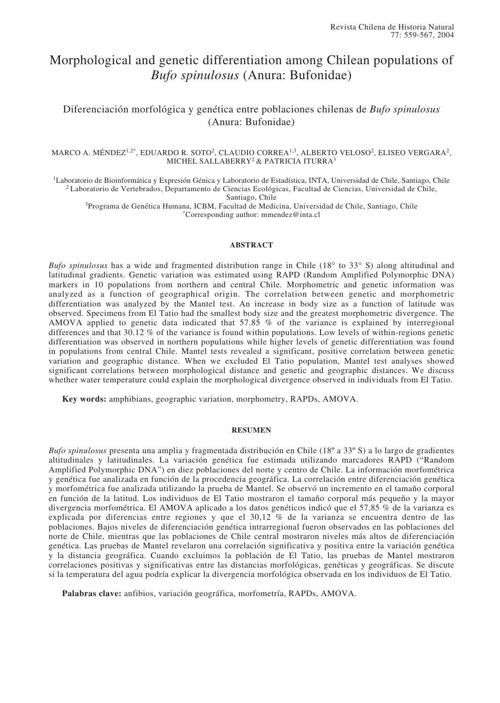# Morphological and genetic differentiation among Chilean populations of *Bufo spinulosus* (Anura: Bufonidae)

## Diferenciación morfológica y genética entre poblaciones chilenas de *Bufo spinulosus* (Anura: Bufonidae)

## MARCO A. MÉNDEZ<sup>1,2\*</sup>, EDUARDO R. SOTO<sup>2</sup>, CLAUDIO CORREA<sup>1,3</sup>, ALBERTO VELOSO<sup>2</sup>, ELISEO VERGARA<sup>2</sup>, MICHEL SALLABERRY2 & PATRICIA ITURRA3

<sup>1</sup>Laboratorio de Bioinformática y Expresión Génica y Laboratorio de Estadística, INTA, Universidad de Chile, Santiago, Chile 2 Laboratorio de Vertebrados, Departamento de Ciencias Ecológicas, Facultad de Ciencias, Universidad de Chile,

Santiago, Chile

3Programa de Genética Humana, ICBM, Facultad de Medicina, Universidad de Chile, Santiago, Chile \*Corresponding author: mmendez@inta.cl

## **ABSTRACT**

*Bufo spinulosus* has a wide and fragmented distribution range in Chile (18° to 33° S) along altitudinal and latitudinal gradients. Genetic variation was estimated using RAPD (Random Amplified Polymorphic DNA) markers in 10 populations from northern and central Chile. Morphometric and genetic information was analyzed as a function of geographical origin. The correlation between genetic and morphometric differentiation was analyzed by the Mantel test. An increase in body size as a function of latitude was observed. Specimens from El Tatio had the smallest body size and the greatest morphometric divergence. The AMOVA applied to genetic data indicated that 57.85 % of the variance is explained by interregional differences and that 30.12 % of the variance is found within populations. Low levels of within-regions genetic differentiation was observed in northern populations while higher levels of genetic differentiation was found in populations from central Chile. Mantel tests revealed a significant, positive correlation between genetic variation and geographic distance. When we excluded El Tatio population, Mantel test analyses showed significant correlations between morphological distance and genetic and geographic distances. We discuss whether water temperature could explain the morphological divergence observed in individuals from El Tatio.

**Key words:** amphibians, geographic variation, morphometry, RAPDs, AMOVA.

## **RESUMEN**

*Bufo spinulosus* presenta una amplia y fragmentada distribución en Chile (18º a 33º S) a lo largo de gradientes altitudinales y latitudinales. La variación genética fue estimada utilizando marcadores RAPD ("Random Amplified Polymorphic DNA") en diez poblaciones del norte y centro de Chile. La información morfométrica y genética fue analizada en función de la procedencia geográfica. La correlación entre diferenciación genética y morfométrica fue analizada utilizando la prueba de Mantel. Se observó un incremento en el tamaño corporal en función de la latitud. Los individuos de El Tatio mostraron el tamaño corporal más pequeño y la mayor divergencia morfométrica. El AMOVA aplicado a los datos genéticos indicó que el 57,85 % de la varianza es explicada por diferencias entre regiones y que el 30,12 % de la varianza se encuentra dentro de las poblaciones. Bajos niveles de diferenciación genética intrarregional fueron observados en las poblaciones del norte de Chile, mientras que las poblaciones de Chile central mostraron niveles más altos de diferenciación genética. Las pruebas de Mantel revelaron una correlación significativa y positiva entre la variación genética y la distancia geográfica. Cuando excluimos la población de El Tatio, las pruebas de Mantel mostraron correlaciones positivas y significativas entre las distancias morfológicas, genéticas y geográficas. Se discute si la temperatura del agua podría explicar la divergencia morfológica observada en los individuos de El Tatio.

**Palabras clave:** anfibios, variación geográfica, morfometría, RAPDs, AMOVA.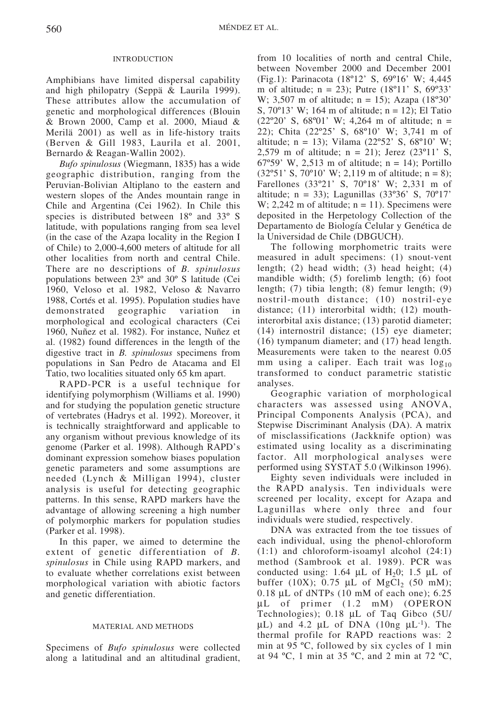## INTRODUCTION

Amphibians have limited dispersal capability and high philopatry (Seppä & Laurila 1999). These attributes allow the accumulation of genetic and morphological differences (Blouin & Brown 2000, Camp et al. 2000, Miaud & Merilä 2001) as well as in life-history traits (Berven & Gill 1983, Laurila et al. 2001, Bernardo & Reagan-Wallin 2002).

*Bufo spinulosus* (Wiegmann, 1835) has a wide geographic distribution, ranging from the Peruvian-Bolivian Altiplano to the eastern and western slopes of the Andes mountain range in Chile and Argentina (Cei 1962). In Chile this species is distributed between 18º and 33º S latitude, with populations ranging from sea level (in the case of the Azapa locality in the Region I of Chile) to 2,000-4,600 meters of altitude for all other localities from north and central Chile. There are no descriptions of *B. spinulosus* populations between 23º and 30º S latitude (Cei 1960, Veloso et al. 1982, Veloso & Navarro 1988, Cortés et al. 1995). Population studies have demonstrated geographic variation in morphological and ecological characters (Cei 1960, Nuñez et al. 1982). For instance, Nuñez et al. (1982) found differences in the length of the digestive tract in *B. spinulosus* specimens from populations in San Pedro de Atacama and El Tatio, two localities situated only 65 km apart.

RAPD-PCR is a useful technique for identifying polymorphism (Williams et al. 1990) and for studying the population genetic structure of vertebrates (Hadrys et al. 1992). Moreover, it is technically straightforward and applicable to any organism without previous knowledge of its genome (Parker et al. 1998). Although RAPD's dominant expression somehow biases population genetic parameters and some assumptions are needed (Lynch & Milligan 1994), cluster analysis is useful for detecting geographic patterns. In this sense, RAPD markers have the advantage of allowing screening a high number of polymorphic markers for population studies (Parker et al. 1998).

In this paper, we aimed to determine the extent of genetic differentiation of *B. spinulosus* in Chile using RAPD markers, and to evaluate whether correlations exist between morphological variation with abiotic factors and genetic differentiation.

### MATERIAL AND METHODS

Specimens of *Bufo spinulosus* were collected along a latitudinal and an altitudinal gradient,

from 10 localities of north and central Chile, between November 2000 and December 2001 (Fig.1): Parinacota (18º12' S, 69º16' W; 4,445 m of altitude;  $n = 23$ ); Putre  $(18^{\circ}11' S, 69^{\circ}33'$ W; 3,507 m of altitude;  $n = 15$ ; Azapa (18°30') S,  $70^{\circ}13'$  W; 164 m of altitude; n = 12); El Tatio  $(22^{\circ}20^{\circ}$  S, 68°01' W; 4,264 m of altitude; n = 22); Chita (22º25' S, 68º10' W; 3,741 m of altitude;  $n = 13$ ); Vilama (22°52' S, 68°10' W; 2,579 m of altitude;  $n = 21$ ); Jerez (23°11' S, 67°59' W, 2,513 m of altitude;  $n = 14$ ); Portillo  $(32°51' S, 70°10' W; 2,119 m of altitude; n = 8);$ Farellones (33º21' S, 70º18' W; 2,331 m of altitude;  $n = 33$ ); Lagunillas (33°36' S, 70°17' W; 2,242 m of altitude;  $n = 11$ ). Specimens were deposited in the Herpetology Collection of the Departamento de Biología Celular y Genética de la Universidad de Chile (DBGUCH).

The following morphometric traits were measured in adult specimens: (1) snout-vent length; (2) head width; (3) head height; (4) mandible width; (5) forelimb length; (6) foot length; (7) tibia length; (8) femur length; (9) nostril-mouth distance; (10) nostril-eye distance; (11) interorbital width; (12) mouthinterorbital axis distance; (13) parotid diameter; (14) internostril distance; (15) eye diameter; (16) tympanum diameter; and (17) head length. Measurements were taken to the nearest 0.05 mm using a caliper. Each trait was  $log_{10}$ transformed to conduct parametric statistic analyses.

Geographic variation of morphological characters was assessed using ANOVA, Principal Components Analysis (PCA), and Stepwise Discriminant Analysis (DA). A matrix of misclassifications (Jackknife option) was estimated using locality as a discriminating factor. All morphological analyses were performed using SYSTAT 5.0 (Wilkinson 1996).

Eighty seven individuals were included in the RAPD analysis. Ten individuals were screened per locality, except for Azapa and Lagunillas where only three and four individuals were studied, respectively.

DNA was extracted from the toe tissues of each individual, using the phenol-chloroform (1:1) and chloroform-isoamyl alcohol (24:1) method (Sambrook et al. 1989). PCR was conducted using: 1.64  $\mu$ L of H<sub>2</sub>0; 1.5  $\mu$ L of buffer (10X); 0.75  $\mu$ L of MgCl<sub>2</sub> (50 mM); 0.18 µL of dNTPs (10 mM of each one); 6.25 µL of primer (1.2 mM) (OPERON Technologies); 0.18 µL of Taq Gibco (5U/  $\mu$ L) and 4.2  $\mu$ L of DNA (10ng  $\mu$ L<sup>-1</sup>). The thermal profile for RAPD reactions was: 2 min at 95 ºC, followed by six cycles of 1 min at 94 ºC, 1 min at 35 ºC, and 2 min at 72 ºC,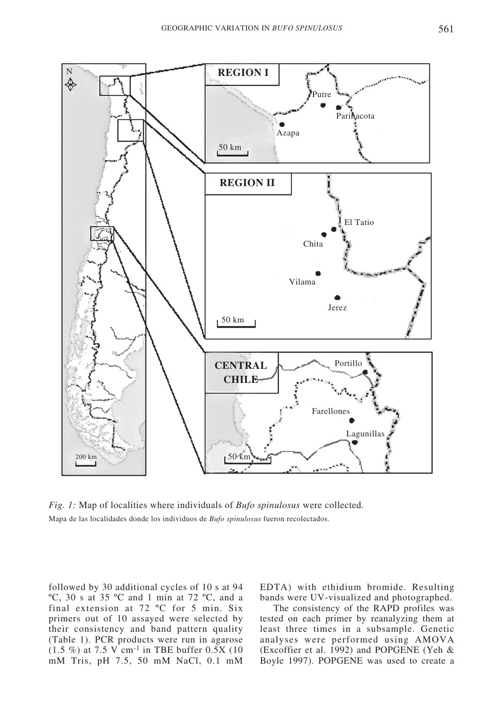

*Fig. 1:* Map of localities where individuals of *Bufo spinulosus* were collected*.* Mapa de las localidades donde los individuos de *Bufo spinulosus* fueron recolectados.

followed by 30 additional cycles of 10 s at 94 ºC, 30 s at 35 ºC and 1 min at 72 ºC, and a final extension at 72 ºC for 5 min. Six primers out of 10 assayed were selected by their consistency and band pattern quality (Table 1). PCR products were run in agarose  $(1.5 \%)$  at 7.5 V cm<sup>-1</sup> in TBE buffer 0.5X (10) mM Tris, pH 7.5, 50 mM NaCl, 0.1 mM EDTA) with ethidium bromide. Resulting bands were UV-visualized and photographed.

The consistency of the RAPD profiles was tested on each primer by reanalyzing them at least three times in a subsample. Genetic analyses were performed using AMOVA (Excoffier et al. 1992) and POPGENE (Yeh & Boyle 1997). POPGENE was used to create a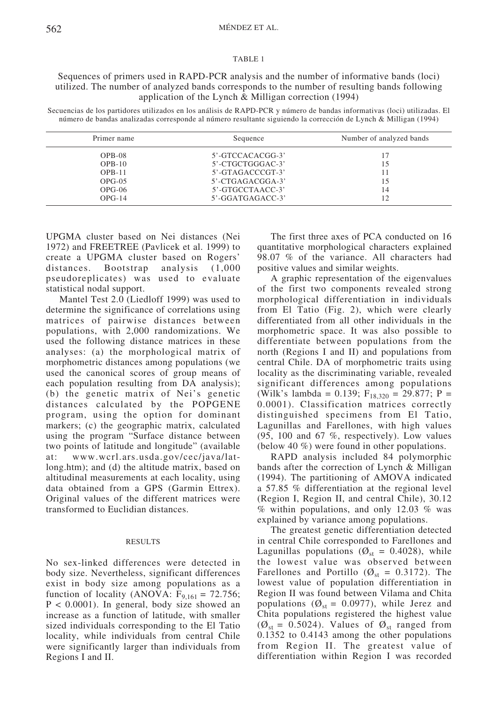#### TABLE 1

Sequences of primers used in RAPD-PCR analysis and the number of informative bands (loci) utilized. The number of analyzed bands corresponds to the number of resulting bands following application of the Lynch & Milligan correction (1994)

Secuencias de los partidores utilizados en los análisis de RAPD-PCR y número de bandas informativas (loci) utilizadas. El número de bandas analizadas corresponde al número resultante siguiendo la corrección de Lynch & Milligan (1994)

| Primer name | Sequence         | Number of analyzed bands |  |  |
|-------------|------------------|--------------------------|--|--|
| $OPB-08$    | 5'-GTCCACACGG-3' | 17                       |  |  |
| $OPB-10$    | 5'-CTGCTGGGAC-3' | 15                       |  |  |
| $OPB-11$    | 5'-GTAGACCCGT-3' | 11                       |  |  |
| $OPG-05$    | 5'-CTGAGACGGA-3' | 15                       |  |  |
| $OPG-06$    | 5'-GTGCCTAACC-3' | 14                       |  |  |
| $OPG-14$    | 5'-GGATGAGACC-3' | 12                       |  |  |

UPGMA cluster based on Nei distances (Nei 1972) and FREETREE (Pavlicek et al. 1999) to create a UPGMA cluster based on Rogers' distances. Bootstrap analysis (1,000 pseudoreplicates) was used to evaluate statistical nodal support.

Mantel Test 2.0 (Liedloff 1999) was used to determine the significance of correlations using matrices of pairwise distances between populations, with 2,000 randomizations. We used the following distance matrices in these analyses: (a) the morphological matrix of morphometric distances among populations (we used the canonical scores of group means of each population resulting from DA analysis); (b) the genetic matrix of Nei's genetic distances calculated by the POPGENE program, using the option for dominant markers; (c) the geographic matrix, calculated using the program "Surface distance between two points of latitude and longitude" (available at: www.wcrl.ars.usda.gov/cec/java/latlong.htm); and (d) the altitude matrix, based on altitudinal measurements at each locality, using data obtained from a GPS (Garmin Ettrex). Original values of the different matrices were transformed to Euclidian distances.

## RESULTS

No sex-linked differences were detected in body size. Nevertheless, significant differences exist in body size among populations as a function of locality (ANOVA:  $F_{9,161} = 72.756$ ; P < 0.0001). In general, body size showed an increase as a function of latitude, with smaller sized individuals corresponding to the El Tatio locality, while individuals from central Chile were significantly larger than individuals from Regions I and II.

The first three axes of PCA conducted on 16 quantitative morphological characters explained 98.07 % of the variance. All characters had positive values and similar weights.

A graphic representation of the eigenvalues of the first two components revealed strong morphological differentiation in individuals from El Tatio (Fig. 2), which were clearly differentiated from all other individuals in the morphometric space. It was also possible to differentiate between populations from the north (Regions I and II) and populations from central Chile. DA of morphometric traits using locality as the discriminating variable, revealed significant differences among populations (Wilk's lambda = 0.139;  $F_{18,320} = 29.877$ ; P = 0.0001). Classification matrices correctly distinguished specimens from El Tatio, Lagunillas and Farellones, with high values (95, 100 and 67 %, respectively). Low values (below 40 %) were found in other populations.

RAPD analysis included 84 polymorphic bands after the correction of Lynch & Milligan (1994). The partitioning of AMOVA indicated a 57.85 % differentiation at the regional level (Region I, Region II, and central Chile), 30.12  $\%$  within populations, and only 12.03  $\%$  was explained by variance among populations.

The greatest genetic differentiation detected in central Chile corresponded to Farellones and Lagunillas populations ( $\mathcal{O}_{st} = 0.4028$ ), while the lowest value was observed between Farellones and Portillo ( $\varnothing_{st}$  = 0.3172). The lowest value of population differentiation in Region II was found between Vilama and Chita populations ( $\varnothing_{st} = 0.0977$ ), while Jerez and Chita populations registered the highest value  $(\emptyset_{st} = 0.5024)$ . Values of  $\emptyset_{st}$  ranged from 0.1352 to 0.4143 among the other populations from Region II. The greatest value of differentiation within Region I was recorded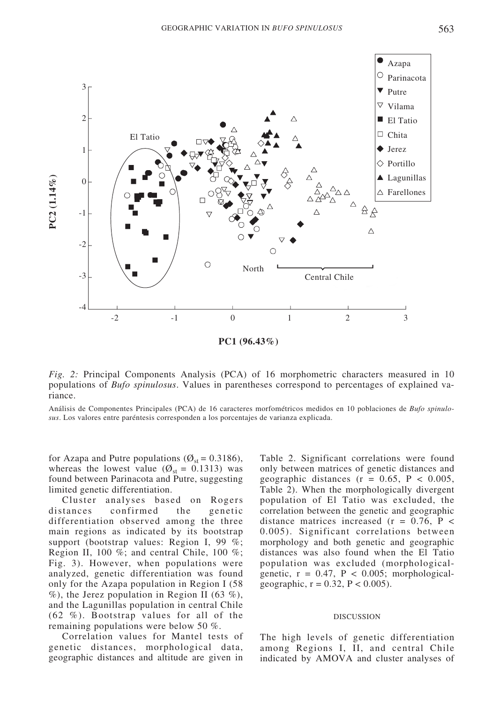

*Fig. 2:* Principal Components Analysis (PCA) of 16 morphometric characters measured in 10 populations of *Bufo spinulosus*. Values in parentheses correspond to percentages of explained variance.

Análisis de Componentes Principales (PCA) de 16 caracteres morfométricos medidos en 10 poblaciones de *Bufo spinulo-*

for Azapa and Putre populations ( $\mathcal{O}_{st}$  = 0.3186), whereas the lowest value ( $\varnothing_{st}$  = 0.1313) was found between Parinacota and Putre, suggesting limited genetic differentiation.

Cluster analyses based on Rogers distances confirmed the genetic differentiation observed among the three main regions as indicated by its bootstrap support (bootstrap values: Region I, 99 %; Region II, 100 %; and central Chile, 100 %; Fig. 3). However, when populations were analyzed, genetic differentiation was found only for the Azapa population in Region I (58  $\%$ ), the Jerez population in Region II (63  $\%$ ), and the Lagunillas population in central Chile (62 %). Bootstrap values for all of the remaining populations were below 50 %.

Correlation values for Mantel tests of genetic distances, morphological data, geographic distances and altitude are given in

Table 2. Significant correlations were found only between matrices of genetic distances and geographic distances ( $r = 0.65$ ,  $P < 0.005$ , Table 2). When the morphologically divergent population of El Tatio was excluded, the correlation between the genetic and geographic distance matrices increased  $(r = 0.76, P <$ 0.005). Significant correlations between morphology and both genetic and geographic distances was also found when the El Tatio population was excluded (morphologicalgenetic,  $r = 0.47$ ,  $P < 0.005$ ; morphologicalgeographic,  $r = 0.32$ ,  $P < 0.005$ ).

#### DISCUSSION

The high levels of genetic differentiation among Regions I, II, and central Chile indicated by AMOVA and cluster analyses of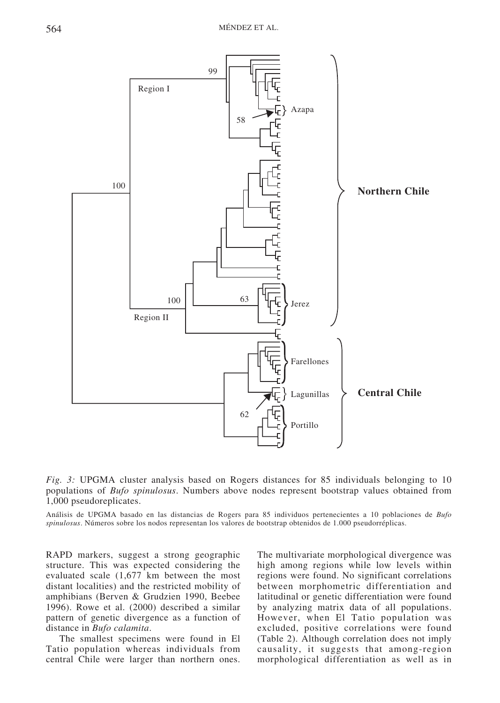

*Fig. 3:* UPGMA cluster analysis based on Rogers distances for 85 individuals belonging to 10 populations of *Bufo spinulosus*. Numbers above nodes represent bootstrap values obtained from 1,000 pseudoreplicates.

Análisis de UPGMA basado en las distancias de Rogers para 85 individuos pertenecientes a 10 poblaciones de *Bufo spinulosus*. Números sobre los nodos representan los valores de bootstrap obtenidos de 1.000 pseudorréplicas.

RAPD markers, suggest a strong geographic structure. This was expected considering the evaluated scale (1,677 km between the most distant localities) and the restricted mobility of amphibians (Berven & Grudzien 1990, Beebee 1996). Rowe et al. (2000) described a similar pattern of genetic divergence as a function of distance in *Bufo calamita*.

The smallest specimens were found in El Tatio population whereas individuals from central Chile were larger than northern ones.

The multivariate morphological divergence was high among regions while low levels within regions were found. No significant correlations between morphometric differentiation and latitudinal or genetic differentiation were found by analyzing matrix data of all populations. However, when El Tatio population was excluded, positive correlations were found (Table 2). Although correlation does not imply causality, it suggests that among-region morphological differentiation as well as in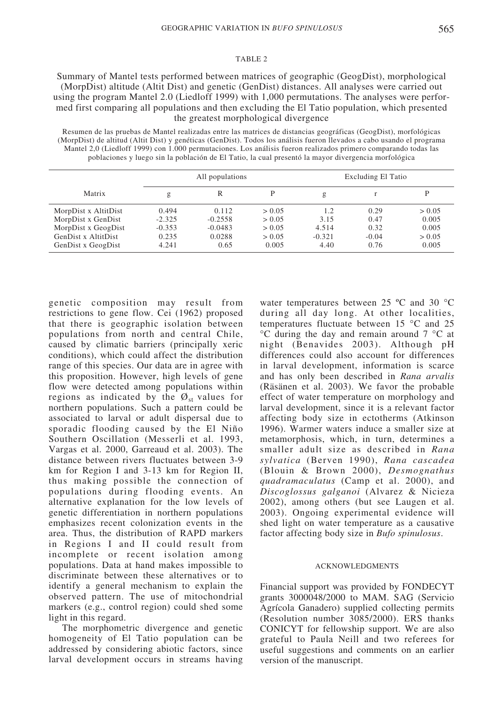#### TABLE 2

Summary of Mantel tests performed between matrices of geographic (GeogDist), morphological (MorpDist) altitude (Altit Dist) and genetic (GenDist) distances. All analyses were carried out using the program Mantel 2.0 (Liedloff 1999) with 1,000 permutations. The analyses were performed first comparing all populations and then excluding the El Tatio population, which presented the greatest morphological divergence

Resumen de las pruebas de Mantel realizadas entre las matrices de distancias geográficas (GeogDist), morfológicas (MorpDist) de altitud (Altit Dist) y genéticas (GenDist). Todos los análisis fueron llevados a cabo usando el programa Mantel 2,0 (Liedloff 1999) con 1.000 permutaciones. Los análisis fueron realizados primero comparando todas las poblaciones y luego sin la población de El Tatio, la cual presentó la mayor divergencia morfológica

|                      | All populations |           | Excluding El Tatio |          |         |        |
|----------------------|-----------------|-----------|--------------------|----------|---------|--------|
| Matrix               | g               | R         | D                  | g        | r       |        |
| MorpDist x AltitDist | 0.494           | 0.112     | > 0.05             | 1.2      | 0.29    | > 0.05 |
| MorpDist x GenDist   | $-2.325$        | $-0.2558$ | > 0.05             | 3.15     | 0.47    | 0.005  |
| MorpDist x GeogDist  | $-0.353$        | $-0.0483$ | > 0.05             | 4.514    | 0.32    | 0.005  |
| GenDist x AltitDist  | 0.235           | 0.0288    | > 0.05             | $-0.321$ | $-0.04$ | > 0.05 |
| GenDist x GeogDist   | 4.241           | 0.65      | 0.005              | 4.40     | 0.76    | 0.005  |

genetic composition may result from restrictions to gene flow. Cei (1962) proposed that there is geographic isolation between populations from north and central Chile, caused by climatic barriers (principally xeric conditions), which could affect the distribution range of this species. Our data are in agree with this proposition. However, high levels of gene flow were detected among populations within regions as indicated by the  $\varnothing_{st}$  values for northern populations. Such a pattern could be associated to larval or adult dispersal due to sporadic flooding caused by the El Niño Southern Oscillation (Messerli et al. 1993, Vargas et al. 2000, Garreaud et al. 2003). The distance between rivers fluctuates between 3-9 km for Region I and 3-13 km for Region II, thus making possible the connection of populations during flooding events. An alternative explanation for the low levels of genetic differentiation in northern populations emphasizes recent colonization events in the area. Thus, the distribution of RAPD markers in Regions I and II could result from incomplete or recent isolation among populations. Data at hand makes impossible to discriminate between these alternatives or to identify a general mechanism to explain the observed pattern. The use of mitochondrial markers (e.g., control region) could shed some light in this regard.

The morphometric divergence and genetic homogeneity of El Tatio population can be addressed by considering abiotic factors, since larval development occurs in streams having water temperatures between 25 ºC and 30 °C during all day long. At other localities, temperatures fluctuate between 15 °C and 25 °C during the day and remain around 7 °C at night (Benavides 2003). Although pH differences could also account for differences in larval development, information is scarce and has only been described in *Rana arvalis* (Räsänen et al. 2003). We favor the probable effect of water temperature on morphology and larval development, since it is a relevant factor affecting body size in ectotherms (Atkinson 1996). Warmer waters induce a smaller size at metamorphosis, which, in turn, determines a smaller adult size as described in *Rana sylvatica* (Berven 1990), *Rana cascadea* (Blouin & Brown 2000), *Desmognathus quadramaculatus* (Camp et al. 2000), and *Discoglossus galganoi* (Alvarez & Nicieza 2002), among others (but see Laugen et al. 2003). Ongoing experimental evidence will shed light on water temperature as a causative factor affecting body size in *Bufo spinulosus*.

#### ACKNOWLEDGMENTS

Financial support was provided by FONDECYT grants 3000048/2000 to MAM. SAG (Servicio Agrícola Ganadero) supplied collecting permits (Resolution number 3085/2000). ERS thanks CONICYT for fellowship support. We are also grateful to Paula Neill and two referees for useful suggestions and comments on an earlier version of the manuscript.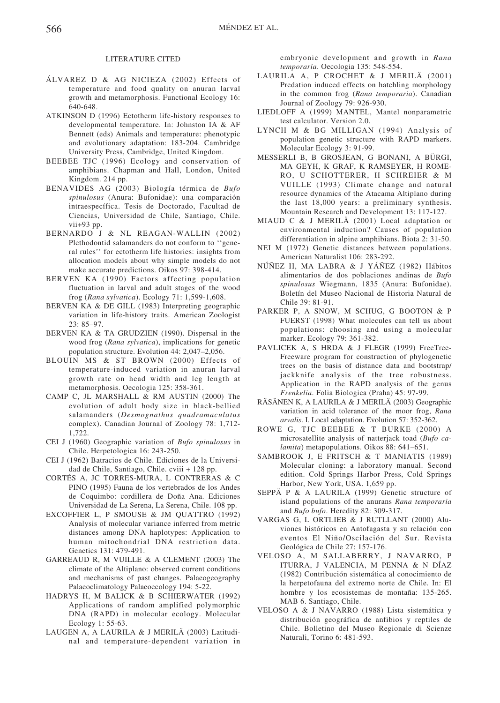#### LITERATURE CITED

- ÁLVAREZ D & AG NICIEZA (2002) Effects of temperature and food quality on anuran larval growth and metamorphosis. Functional Ecology 16: 640-648.
- ATKINSON D (1996) Ectotherm life-history responses to developmental temperature. In: Johnston IA & AF Bennett (eds) Animals and temperature: phenotypic and evolutionary adaptation: 183-204. Cambridge University Press, Cambridge, United Kingdom.
- BEEBEE TJC (1996) Ecology and conservation of amphibians. Chapman and Hall, London, United Kingdom. 214 pp.
- BENAVIDES AG (2003) Biología térmica de *Bufo spinulosus* (Anura: Bufonidae): una comparación intraespecífica. Tesis de Doctorado, Facultad de Ciencias, Universidad de Chile, Santiago, Chile. vii+93 pp.
- BERNARDO J & NL REAGAN-WALLIN (2002) Plethodontid salamanders do not conform to ''general rules'' for ectotherm life histories: insights from allocation models about why simple models do not make accurate predictions. Oikos 97: 398-414.
- BERVEN KA (1990) Factors affecting population fluctuation in larval and adult stages of the wood frog (*Rana sylvatica*). Ecology 71: 1,599-1,608.
- BERVEN KA & DE GILL (1983) Interpreting geographic variation in life-history traits. American Zoologist 23: 85–97.
- BERVEN KA & TA GRUDZIEN (1990). Dispersal in the wood frog (*Rana sylvatica*), implications for genetic population structure. Evolution 44: 2,047–2,056.
- BLOUIN MS & ST BROWN (2000) Effects of temperature-induced variation in anuran larval growth rate on head width and leg length at metamorphosis. Oecologia 125: 358-361.
- CAMP C, JL MARSHALL & RM AUSTIN (2000) The evolution of adult body size in black-bellied salamanders (*Desmognathus quadramaculatus* complex). Canadian Journal of Zoology 78: 1,712- 1,722.
- CEI J (1960) Geographic variation of *Bufo spinulosus* in Chile. Herpetologica 16: 243-250.
- CEI J (1962) Batracios de Chile. Ediciones de la Universidad de Chile, Santiago, Chile. cviii + 128 pp.
- CORTÉS A, JC TORRES-MURA, L CONTRERAS & C PINO (1995) Fauna de los vertebrados de los Andes de Coquimbo: cordillera de Doña Ana. Ediciones Universidad de La Serena, La Serena, Chile. 108 pp.
- EXCOFFIER L, P SMOUSE & JM QUATTRO (1992) Analysis of molecular variance inferred from metric distances among DNA haplotypes: Application to human mitochondrial DNA restriction data. Genetics 131: 479-491.
- GARREAUD R, M VUILLE & A CLEMENT (2003) The climate of the Altiplano: observed current conditions and mechanisms of past changes. Palaeogeography Palaeoclimatology Palaeoecology 194: 5-22.
- HADRYS H, M BALICK & B SCHIERWATER (1992) Applications of random amplified polymorphic DNA (RAPD) in molecular ecology. Molecular Ecology 1: 55-63.
- LAUGEN A, A LAURILA & J MERILÄ (2003) Latitudinal and temperature-dependent variation in

embryonic development and growth in *Rana temporaria*. Oecologia 135: 548-554.

- LAURILA A, P CROCHET & J MERILÄ (2001) Predation induced effects on hatchling morphology in the common frog (*Rana temporaria*). Canadian Journal of Zoology 79: 926-930.
- LIEDLOFF A (1999) MANTEL, Mantel nonparametric test calculator. Version 2.0.
- LYNCH M & BG MILLIGAN (1994) Analysis of population genetic structure with RAPD markers. Molecular Ecology 3: 91-99.
- MESSERLI B, B GROSJEAN, G BONANI, A BÜRGI, MA GEYH, K GRAF, K RAMSEYER, H ROME-RO, U SCHOTTERER, H SCHREIER & M VUILLE (1993) Climate change and natural resource dynamics of the Atacama Altiplano during the last 18,000 years: a preliminary synthesis. Mountain Research and Development 13: 117-127.
- MIAUD C & J MERILÄ (2001) Local adaptation or environmental induction? Causes of population differentiation in alpine amphibians. Biota 2: 31-50.
- NEI M (1972) Genetic distances between populations. American Naturalist 106: 283-292.
- NÚÑEZ H, MA LABRA & J YÁÑEZ (1982) Hábitos alimentarios de dos poblaciones andinas de *Bufo spinulosus* Wiegmann, 1835 (Anura: Bufonidae). Boletín del Museo Nacional de Historia Natural de Chile 39: 81-91.
- PARKER P, A SNOW, M SCHUG, G BOOTON & P FUERST (1998) What molecules can tell us about populations: choosing and using a molecular marker. Ecology 79: 361-382.
- PAVLICEK A, S HRDA & J FLEGR (1999) FreeTree-Freeware program for construction of phylogenetic trees on the basis of distance data and bootstrap/ jackknife analysis of the tree robustness. Application in the RAPD analysis of the genus *Frenkelia*. Folia Biologica (Praha) 45: 97-99.
- RÄSÄNEN K, A LAURILA & J MERILÄ (2003) Geographic variation in acid tolerance of the moor frog, *Rana arvalis*. I. Local adaptation. Evolution 57: 352-362.
- ROWE G, TJC BEEBEE & T BURKE (2000) A microsatellite analysis of natterjack toad (*Bufo calamita*) metapopulations. Oikos 88: 641–651.
- SAMBROOK J, E FRITSCH & T MANIATIS (1989) Molecular cloning: a laboratory manual. Second edition. Cold Springs Harbor Press, Cold Springs Harbor, New York, USA. 1,659 pp.
- SEPPÄ P & A LAURILA (1999) Genetic structure of island populations of the anurans *Rana temporaria* and *Bufo bufo*. Heredity 82: 309-317.
- VARGAS G, L ORTLIEB & J RUTLLANT (2000) Aluviones históricos en Antofagasta y su relación con eventos El Niño/Oscilación del Sur. Revista Geológica de Chile 27: 157-176.
- VELOSO A, M SALLABERRY, J NAVARRO, P ITURRA, J VALENCIA, M PENNA & N DÍAZ (1982) Contribución sistemática al conocimiento de la herpetofauna del extremo norte de Chile. In: El hombre y los ecosistemas de montaña: 135-265. MAB 6. Santiago, Chile.
- VELOSO A & J NAVARRO (1988) Lista sistemática y distribución geográfica de anfibios y reptiles de Chile. Bolletino del Museo Regionale di Scienze Naturali, Torino 6: 481-593.